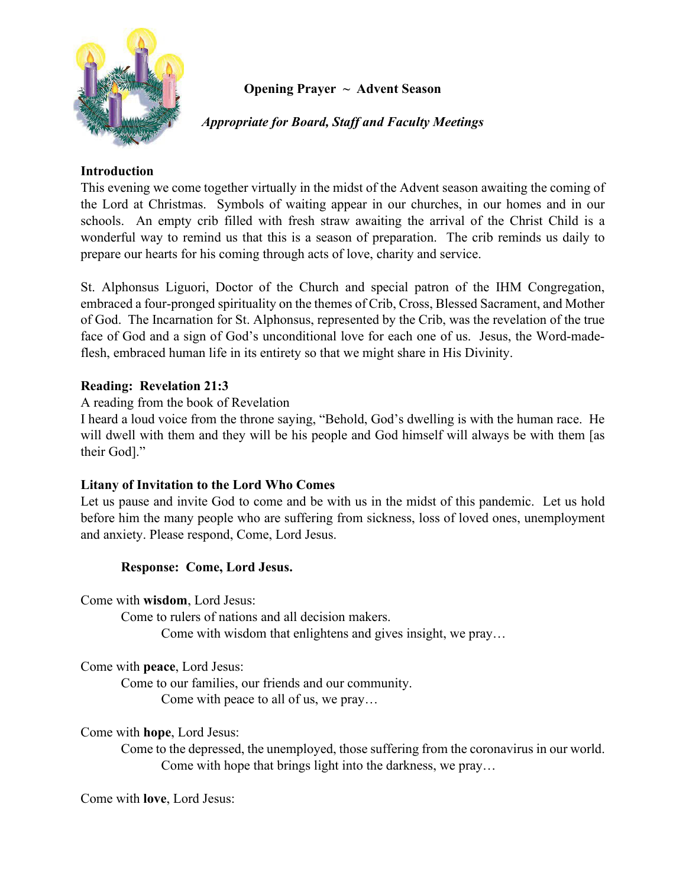

# **Opening Prayer ~ Advent Season**

*Appropriate for Board, Staff and Faculty Meetings*

### **Introduction**

This evening we come together virtually in the midst of the Advent season awaiting the coming of the Lord at Christmas. Symbols of waiting appear in our churches, in our homes and in our schools. An empty crib filled with fresh straw awaiting the arrival of the Christ Child is a wonderful way to remind us that this is a season of preparation. The crib reminds us daily to prepare our hearts for his coming through acts of love, charity and service.

St. Alphonsus Liguori, Doctor of the Church and special patron of the IHM Congregation, embraced a four-pronged spirituality on the themes of Crib, Cross, Blessed Sacrament, and Mother of God. The Incarnation for St. Alphonsus, represented by the Crib, was the revelation of the true face of God and a sign of God's unconditional love for each one of us. Jesus, the Word-madeflesh, embraced human life in its entirety so that we might share in His Divinity.

### **Reading: Revelation 21:3**

A reading from the book of Revelation

I heard a loud voice from the throne saying, "Behold, God's dwelling is with the human race. He will dwell with them and they will be his people and God himself will always be with them [as their God]."

### **Litany of Invitation to the Lord Who Comes**

Let us pause and invite God to come and be with us in the midst of this pandemic. Let us hold before him the many people who are suffering from sickness, loss of loved ones, unemployment and anxiety. Please respond, Come, Lord Jesus.

# **Response: Come, Lord Jesus.**

Come with **wisdom**, Lord Jesus:

Come to rulers of nations and all decision makers. Come with wisdom that enlightens and gives insight, we pray…

Come with **peace**, Lord Jesus:

Come to our families, our friends and our community. Come with peace to all of us, we pray…

### Come with **hope**, Lord Jesus:

Come to the depressed, the unemployed, those suffering from the coronavirus in our world. Come with hope that brings light into the darkness, we pray…

Come with **love**, Lord Jesus: